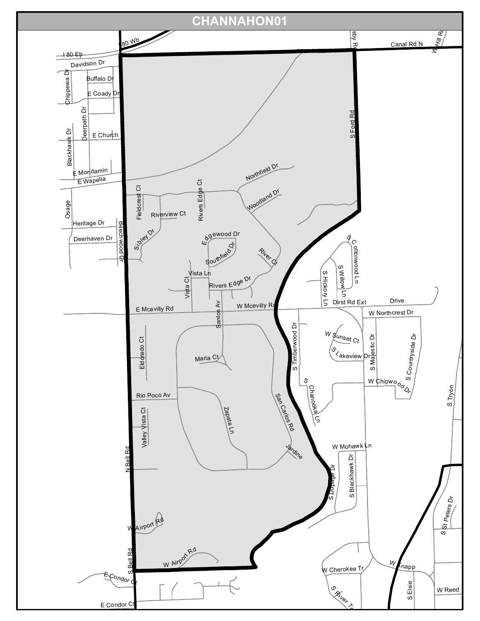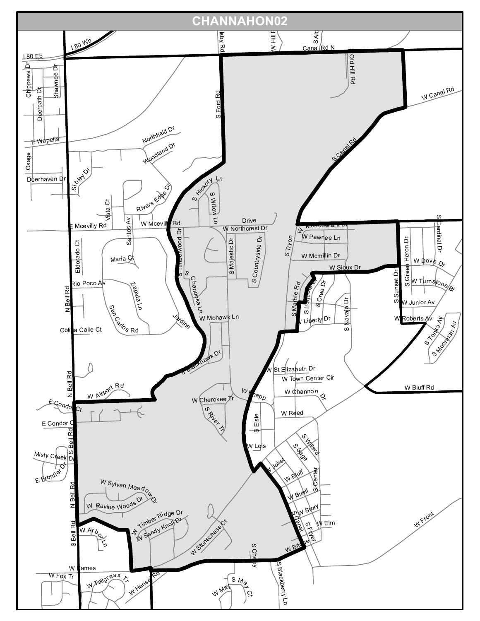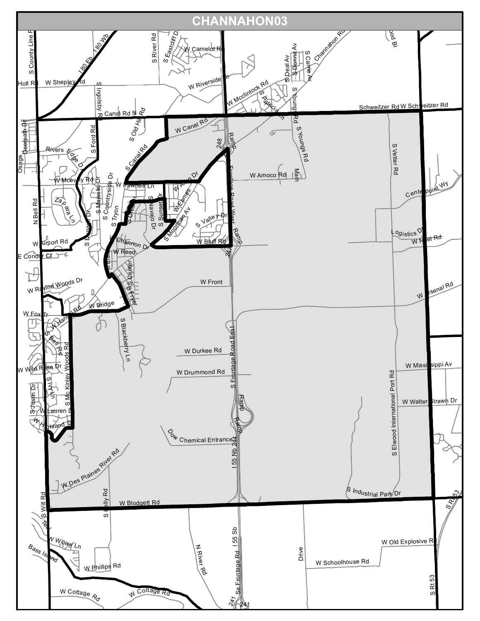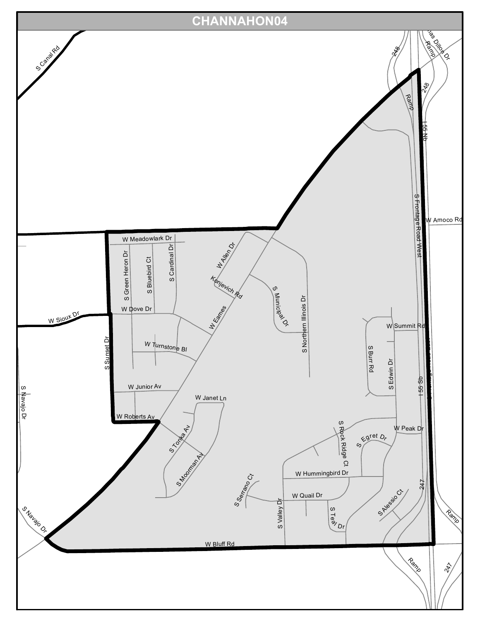![](_page_3_Figure_0.jpeg)